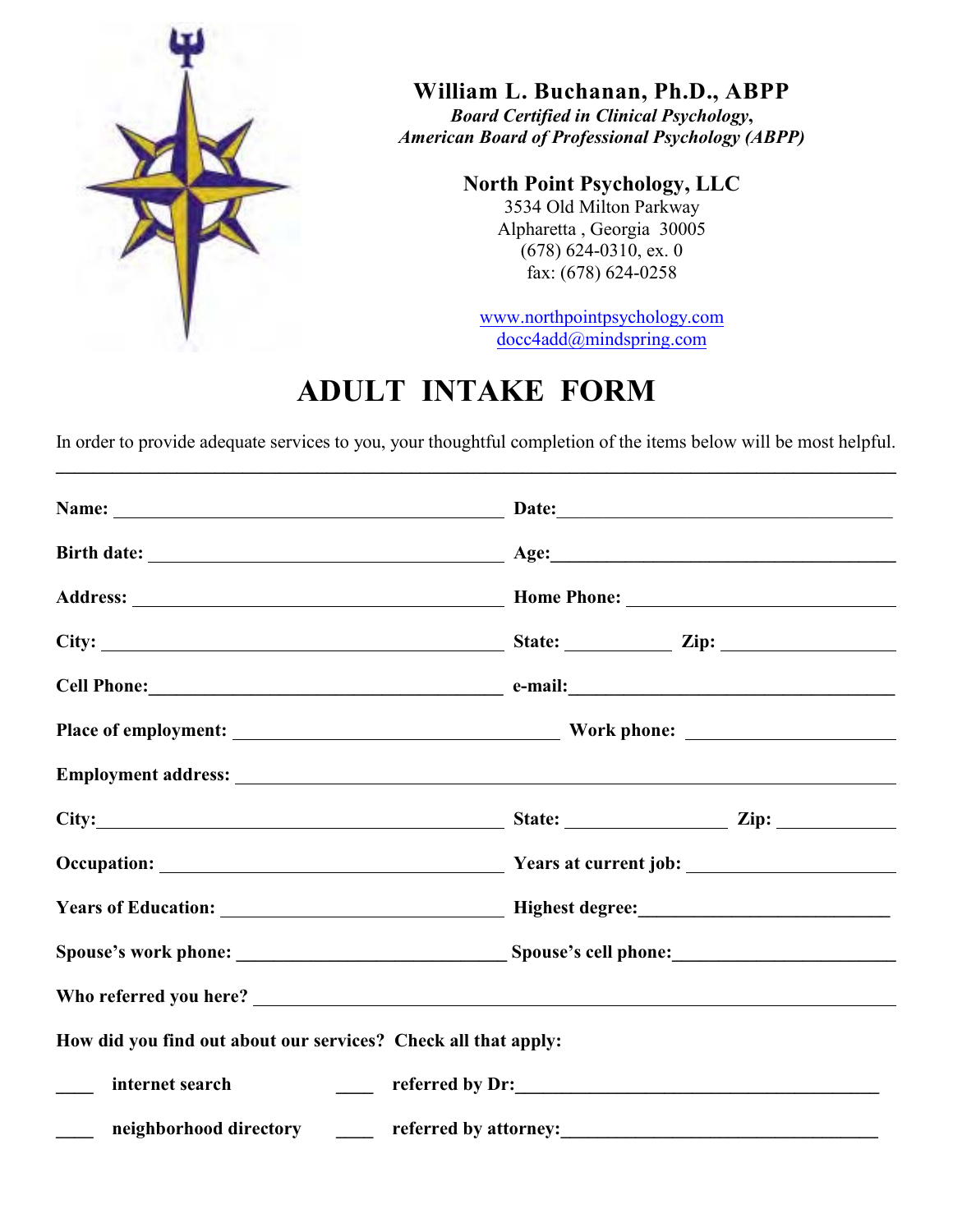

**William L. Buchanan, Ph.D., ABPP**

*Board Certified in Clinical Psychology***,** *American Board of Professional Psychology (ABPP)*

**North Point Psychology, LLC**

3534 Old Milton Parkway Alpharetta , Georgia 30005  $(678)$  624-0310, ex. 0 fax: (678) 624-0258

www.northpointpsychology.com docc4add@mindspring.com

## **ADULT INTAKE FORM**

In order to provide adequate services to you, your thoughtful completion of the items below will be most helpful. **\_\_\_\_\_\_\_\_\_\_\_\_\_\_\_\_\_\_\_\_\_\_\_\_\_\_\_\_\_\_\_\_\_\_\_\_\_\_\_\_\_\_\_\_\_\_\_\_\_\_\_\_\_\_\_\_\_\_\_\_\_\_\_\_\_\_\_\_\_\_\_\_\_\_\_\_\_\_\_\_\_\_\_\_\_\_\_\_\_\_**

| Cell Phone: e-mail: e-mail:                                    |                       |
|----------------------------------------------------------------|-----------------------|
|                                                                |                       |
|                                                                |                       |
|                                                                |                       |
|                                                                |                       |
|                                                                |                       |
|                                                                |                       |
|                                                                |                       |
| How did you find out about our services? Check all that apply: |                       |
| internet search                                                | referred by Dr:       |
| neighborhood directory ______                                  | referred by attorney: |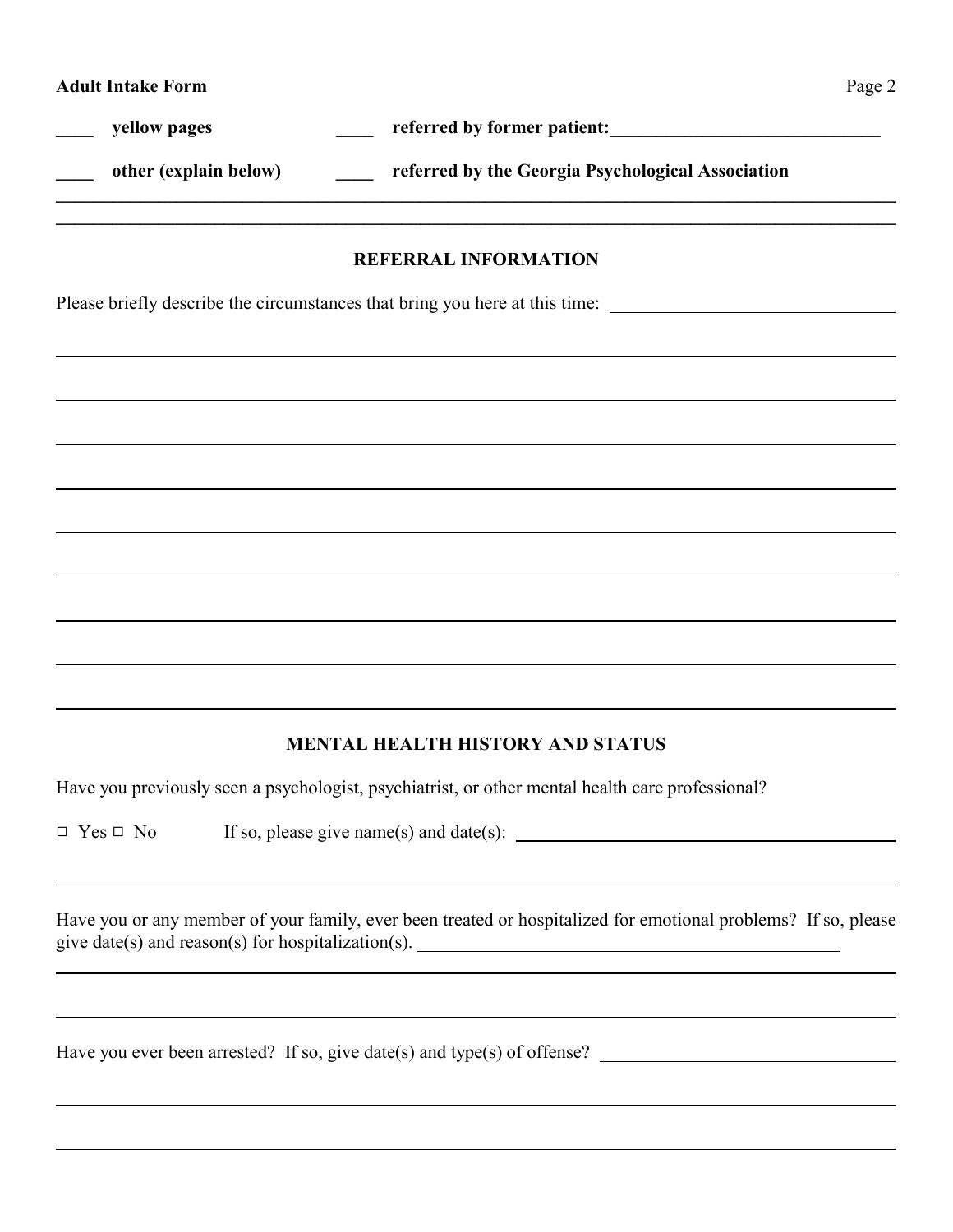yellow pages **we construct that the vertex referred by former patient:** 

other (explain below) **the Georgia Psychological Association** 

## **REFERRAL INFORMATION**

**\_\_\_\_\_\_\_\_\_\_\_\_\_\_\_\_\_\_\_\_\_\_\_\_\_\_\_\_\_\_\_\_\_\_\_\_\_\_\_\_\_\_\_\_\_\_\_\_\_\_\_\_\_\_\_\_\_\_\_\_\_\_\_\_\_\_\_\_\_\_\_\_\_\_\_\_\_\_\_\_\_\_\_\_\_\_\_\_\_\_ \_\_\_\_\_\_\_\_\_\_\_\_\_\_\_\_\_\_\_\_\_\_\_\_\_\_\_\_\_\_\_\_\_\_\_\_\_\_\_\_\_\_\_\_\_\_\_\_\_\_\_\_\_\_\_\_\_\_\_\_\_\_\_\_\_\_\_\_\_\_\_\_\_\_\_\_\_\_\_\_\_\_\_\_\_\_\_\_\_\_**

Please briefly describe the circumstances that bring you here at this time:

## **MENTAL HEALTH HISTORY AND STATUS**

Have you previously seen a psychologist, psychiatrist, or other mental health care professional?

 $\Box$  Yes  $\Box$  No If so, please give name(s) and date(s):

Have you or any member of your family, ever been treated or hospitalized for emotional problems? If so, please give date(s) and reason(s) for hospitalization(s).

Have you ever been arrested? If so, give date(s) and type(s) of offense?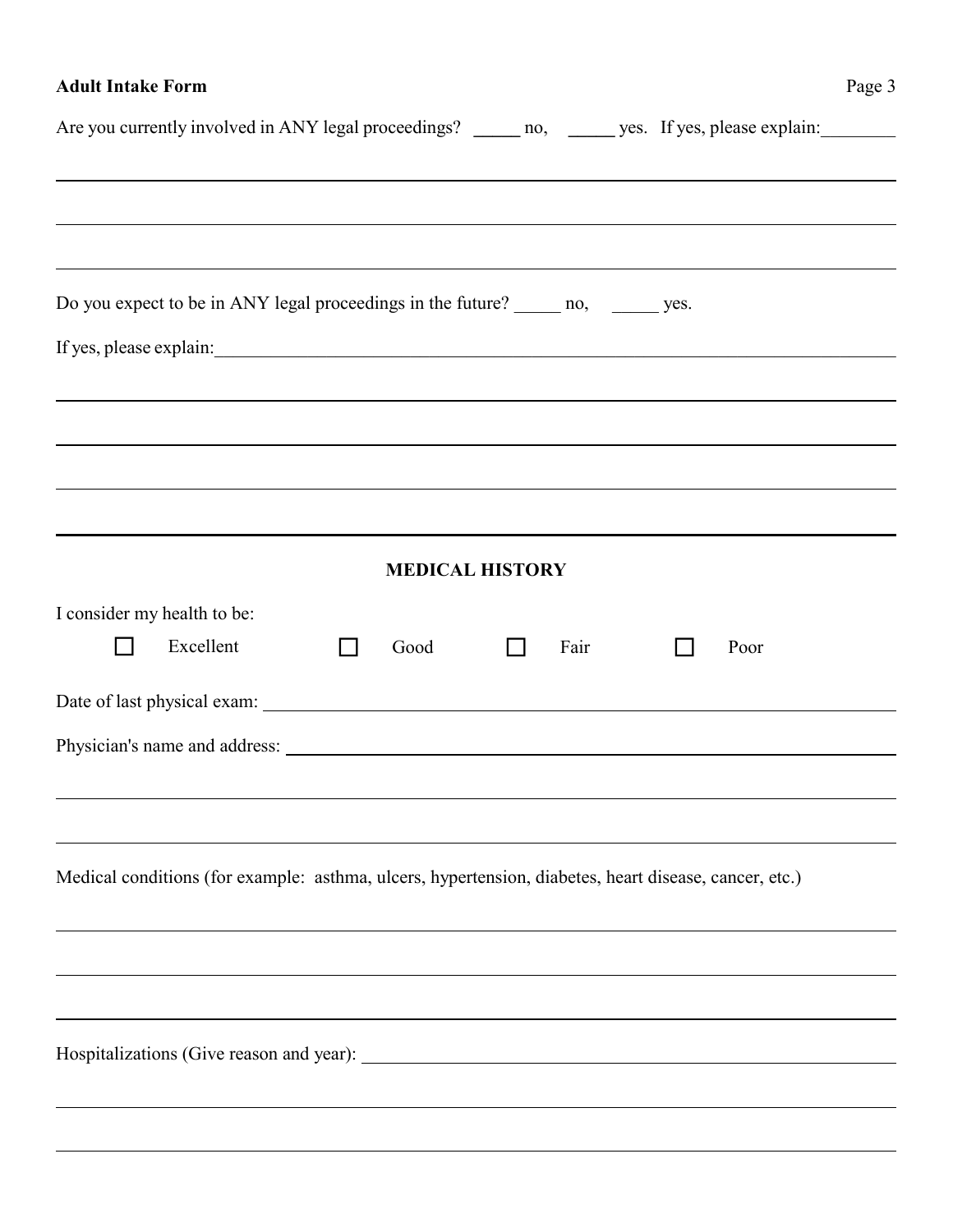## **Adult Intake Form**

| Are you currently involved in ANY legal proceedings? ______ no, ______ yes. If yes, please explain:   |  |                        |      |                                                                                  |
|-------------------------------------------------------------------------------------------------------|--|------------------------|------|----------------------------------------------------------------------------------|
|                                                                                                       |  |                        |      | ,我们也不会有什么。""我们的人,我们也不会有什么?""我们的人,我们也不会有什么?""我们的人,我们也不会有什么?""我们的人,我们也不会有什么?""我们的人 |
|                                                                                                       |  |                        |      |                                                                                  |
|                                                                                                       |  |                        |      |                                                                                  |
| ,我们也不会有什么。""我们的人,我们也不会有什么?""我们的人,我们也不会有什么?""我们的人,我们也不会有什么?""我们的人,我们也不会有什么?""我们的人                      |  |                        |      |                                                                                  |
| Do you expect to be in ANY legal proceedings in the future? _______ no, _______ yes.                  |  |                        |      |                                                                                  |
| If yes, please explain:                                                                               |  |                        |      |                                                                                  |
|                                                                                                       |  |                        |      | ,我们也不会有什么。""我们的人,我们也不会有什么?""我们的人,我们也不会有什么?""我们的人,我们也不会有什么?""我们的人,我们也不会有什么?""我们的人 |
|                                                                                                       |  |                        |      | ,我们也不会有什么。""我们的人,我们也不会有什么?""我们的人,我们也不会有什么?""我们的人,我们也不会有什么?""我们的人,我们也不会有什么?""我们的人 |
|                                                                                                       |  |                        |      |                                                                                  |
|                                                                                                       |  |                        |      |                                                                                  |
|                                                                                                       |  |                        |      |                                                                                  |
|                                                                                                       |  | <b>MEDICAL HISTORY</b> |      |                                                                                  |
| I consider my health to be:                                                                           |  |                        |      |                                                                                  |
| Excellent                                                                                             |  | Good                   | Fair | Poor                                                                             |
|                                                                                                       |  |                        |      |                                                                                  |
|                                                                                                       |  |                        |      |                                                                                  |
|                                                                                                       |  |                        |      |                                                                                  |
|                                                                                                       |  |                        |      |                                                                                  |
|                                                                                                       |  |                        |      |                                                                                  |
| Medical conditions (for example: asthma, ulcers, hypertension, diabetes, heart disease, cancer, etc.) |  |                        |      |                                                                                  |
|                                                                                                       |  |                        |      |                                                                                  |
|                                                                                                       |  |                        |      |                                                                                  |
|                                                                                                       |  |                        |      |                                                                                  |
|                                                                                                       |  |                        |      |                                                                                  |
|                                                                                                       |  |                        |      |                                                                                  |
|                                                                                                       |  |                        |      |                                                                                  |
|                                                                                                       |  |                        |      |                                                                                  |